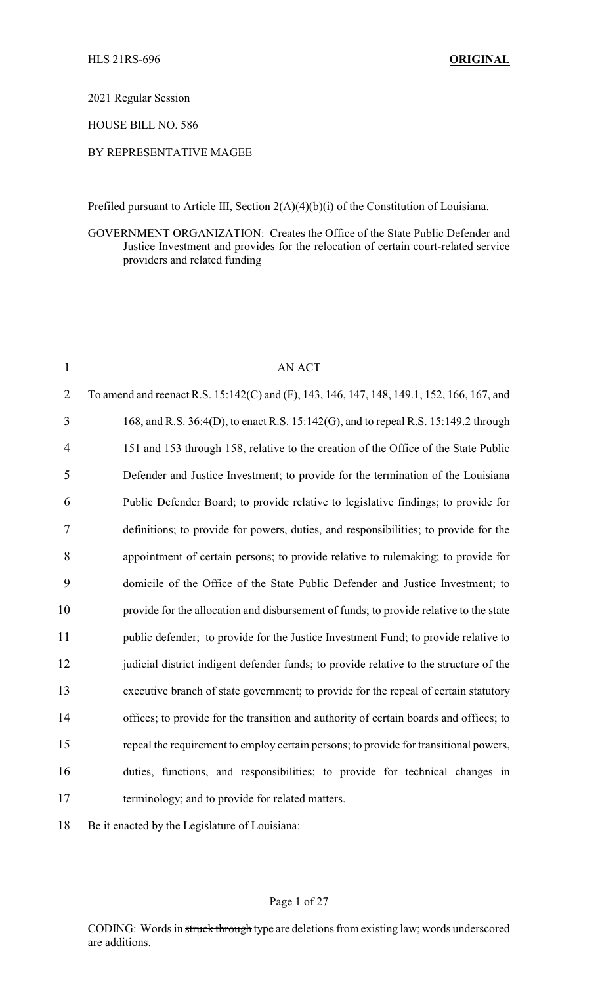2021 Regular Session

HOUSE BILL NO. 586

## BY REPRESENTATIVE MAGEE

Prefiled pursuant to Article III, Section 2(A)(4)(b)(i) of the Constitution of Louisiana.

GOVERNMENT ORGANIZATION: Creates the Office of the State Public Defender and Justice Investment and provides for the relocation of certain court-related service providers and related funding

| $\mathbf{1}$   | AN ACT                                                                                     |
|----------------|--------------------------------------------------------------------------------------------|
| $\overline{2}$ | To amend and reenact R.S. 15:142(C) and (F), 143, 146, 147, 148, 149.1, 152, 166, 167, and |
| 3              | 168, and R.S. 36:4(D), to enact R.S. 15:142(G), and to repeal R.S. 15:149.2 through        |
| $\overline{4}$ | 151 and 153 through 158, relative to the creation of the Office of the State Public        |
| 5              | Defender and Justice Investment; to provide for the termination of the Louisiana           |
| 6              | Public Defender Board; to provide relative to legislative findings; to provide for         |
| 7              | definitions; to provide for powers, duties, and responsibilities; to provide for the       |
| 8              | appointment of certain persons; to provide relative to rulemaking; to provide for          |
| 9              | domicile of the Office of the State Public Defender and Justice Investment; to             |
| 10             | provide for the allocation and disbursement of funds; to provide relative to the state     |
| 11             | public defender; to provide for the Justice Investment Fund; to provide relative to        |
| 12             | judicial district indigent defender funds; to provide relative to the structure of the     |
| 13             | executive branch of state government; to provide for the repeal of certain statutory       |
| 14             | offices; to provide for the transition and authority of certain boards and offices; to     |
| 15             | repeal the requirement to employ certain persons; to provide for transitional powers,      |
| 16             | duties, functions, and responsibilities; to provide for technical changes in               |
| 17             | terminology; and to provide for related matters.                                           |
|                |                                                                                            |

18 Be it enacted by the Legislature of Louisiana:

## Page 1 of 27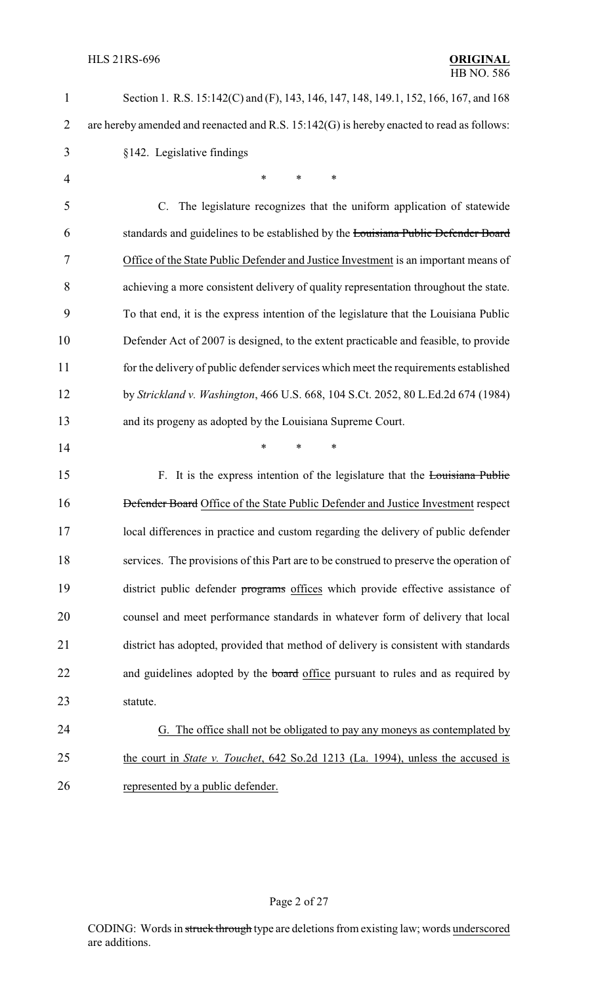| 1              | Section 1. R.S. 15:142(C) and (F), 143, 146, 147, 148, 149.1, 152, 166, 167, and 168      |
|----------------|-------------------------------------------------------------------------------------------|
| $\overline{2}$ | are hereby amended and reenacted and R.S. 15:142(G) is hereby enacted to read as follows: |
| 3              | §142. Legislative findings                                                                |
| 4              | $\ast$<br>$\ast$<br>$\ast$                                                                |
| 5              | C. The legislature recognizes that the uniform application of statewide                   |
| 6              | standards and guidelines to be established by the Louisiana Public Defender Board         |
| 7              | Office of the State Public Defender and Justice Investment is an important means of       |
| 8              | achieving a more consistent delivery of quality representation throughout the state.      |
| 9              | To that end, it is the express intention of the legislature that the Louisiana Public     |
| 10             | Defender Act of 2007 is designed, to the extent practicable and feasible, to provide      |
| 11             | for the delivery of public defender services which meet the requirements established      |
| 12             | by Strickland v. Washington, 466 U.S. 668, 104 S.Ct. 2052, 80 L.Ed.2d 674 (1984)          |
| 13             | and its progeny as adopted by the Louisiana Supreme Court.                                |
| 14             | *<br>*<br>$\ast$                                                                          |
| 15             | F. It is the express intention of the legislature that the Louisiana Public               |
| 16             | Defender Board Office of the State Public Defender and Justice Investment respect         |
| 17             | local differences in practice and custom regarding the delivery of public defender        |
| 18             | services. The provisions of this Part are to be construed to preserve the operation of    |
| 19             | district public defender programs offices which provide effective assistance of           |
| 20             | counsel and meet performance standards in whatever form of delivery that local            |
| 21             | district has adopted, provided that method of delivery is consistent with standards       |
| 22             | and guidelines adopted by the board office pursuant to rules and as required by           |
| 23             | statute.                                                                                  |
| 24             | G. The office shall not be obligated to pay any moneys as contemplated by                 |
| 25             | the court in <i>State v. Touchet</i> , 642 So.2d 1213 (La. 1994), unless the accused is   |
| 26             | represented by a public defender.                                                         |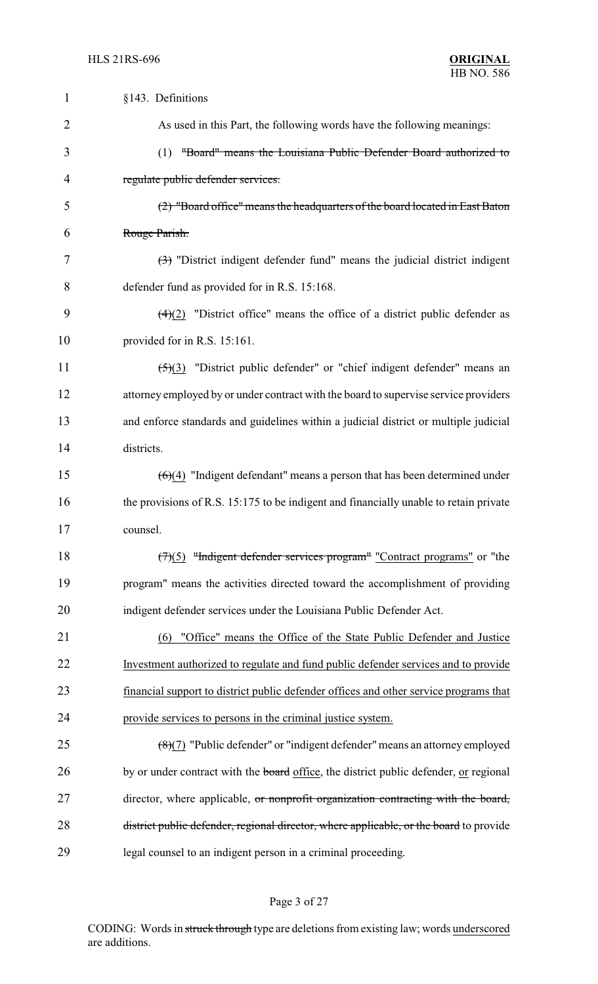| 1              | §143. Definitions                                                                                 |
|----------------|---------------------------------------------------------------------------------------------------|
| $\overline{2}$ | As used in this Part, the following words have the following meanings:                            |
| 3              | "Board" means the Louisiana Public Defender Board authorized to<br>(1)                            |
| 4              | regulate public defender services.                                                                |
| 5              | (2) "Board office" means the headquarters of the board located in East Baton                      |
| 6              | Rouge Parish.                                                                                     |
| 7              | $\left(\frac{1}{2}\right)$ "District indigent defender fund" means the judicial district indigent |
| 8              | defender fund as provided for in R.S. 15:168.                                                     |
| 9              | $\left(\frac{4}{2}\right)$ "District office" means the office of a district public defender as    |
| 10             | provided for in R.S. 15:161.                                                                      |
| 11             | $\frac{5(3)}{2}$ "District public defender" or "chief indigent defender" means an                 |
| 12             | attorney employed by or under contract with the board to supervise service providers              |
| 13             | and enforce standards and guidelines within a judicial district or multiple judicial              |
| 14             | districts.                                                                                        |
| 15             | $(6)(4)$ "Indigent defendant" means a person that has been determined under                       |
| 16             | the provisions of R.S. 15:175 to be indigent and financially unable to retain private             |
| 17             | counsel.                                                                                          |
| 18             | $(7)(5)$ "Indigent defender services program" "Contract programs" or "the                         |
| 19             | program" means the activities directed toward the accomplishment of providing                     |
| 20             | indigent defender services under the Louisiana Public Defender Act.                               |
| 21             | "Office" means the Office of the State Public Defender and Justice<br>(6)                         |
| 22             | Investment authorized to regulate and fund public defender services and to provide                |
| 23             | financial support to district public defender offices and other service programs that             |
| 24             | provide services to persons in the criminal justice system.                                       |
| 25             | $\left(\frac{8}{2}\right)$ "Public defender" or "indigent defender" means an attorney employed    |
| 26             | by or under contract with the <b>board</b> office, the district public defender, or regional      |
| 27             | director, where applicable, or nonprofit organization contracting with the board,                 |
| 28             | district public defender, regional director, where applicable, or the board to provide            |
| 29             | legal counsel to an indigent person in a criminal proceeding.                                     |

# Page 3 of 27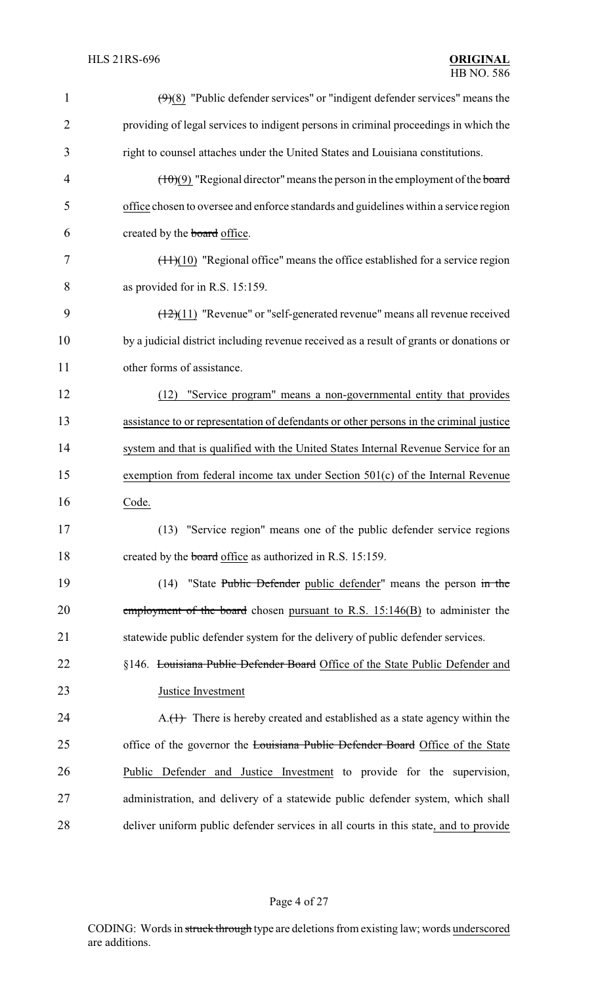| 1              | $(9)(8)$ "Public defender services" or "indigent defender services" means the           |
|----------------|-----------------------------------------------------------------------------------------|
| $\overline{2}$ | providing of legal services to indigent persons in criminal proceedings in which the    |
| 3              | right to counsel attaches under the United States and Louisiana constitutions.          |
| $\overline{4}$ | $(\pm 0)(9)$ "Regional director" means the person in the employment of the board        |
| 5              | office chosen to oversee and enforce standards and guidelines within a service region   |
| 6              | created by the board office.                                                            |
| 7              | $(\pm 1)(10)$ "Regional office" means the office established for a service region       |
| 8              | as provided for in R.S. 15:159.                                                         |
| 9              | $(12)(11)$ "Revenue" or "self-generated revenue" means all revenue received             |
| 10             | by a judicial district including revenue received as a result of grants or donations or |
| 11             | other forms of assistance.                                                              |
| 12             | "Service program" means a non-governmental entity that provides<br>(12)                 |
| 13             | assistance to or representation of defendants or other persons in the criminal justice  |
| 14             | system and that is qualified with the United States Internal Revenue Service for an     |
| 15             | exemption from federal income tax under Section 501(c) of the Internal Revenue          |
| 16             | Code.                                                                                   |
| 17             | (13) "Service region" means one of the public defender service regions                  |
| 18             | created by the board office as authorized in R.S. 15:159.                               |
| 19             | (14) "State Public Defender public defender" means the person in the                    |
| 20             | employment of the board chosen pursuant to R.S. $15:146(B)$ to administer the           |
| 21             | statewide public defender system for the delivery of public defender services.          |
| 22             | §146. Louisiana Public Defender Board Office of the State Public Defender and           |
| 23             | Justice Investment                                                                      |
| 24             | $A_{\cdot}(1)$ There is hereby created and established as a state agency within the     |
| 25             | office of the governor the Louisiana Public Defender Board Office of the State          |
| 26             | Public Defender and Justice Investment to provide for the supervision,                  |
| 27             | administration, and delivery of a statewide public defender system, which shall         |
| 28             | deliver uniform public defender services in all courts in this state, and to provide    |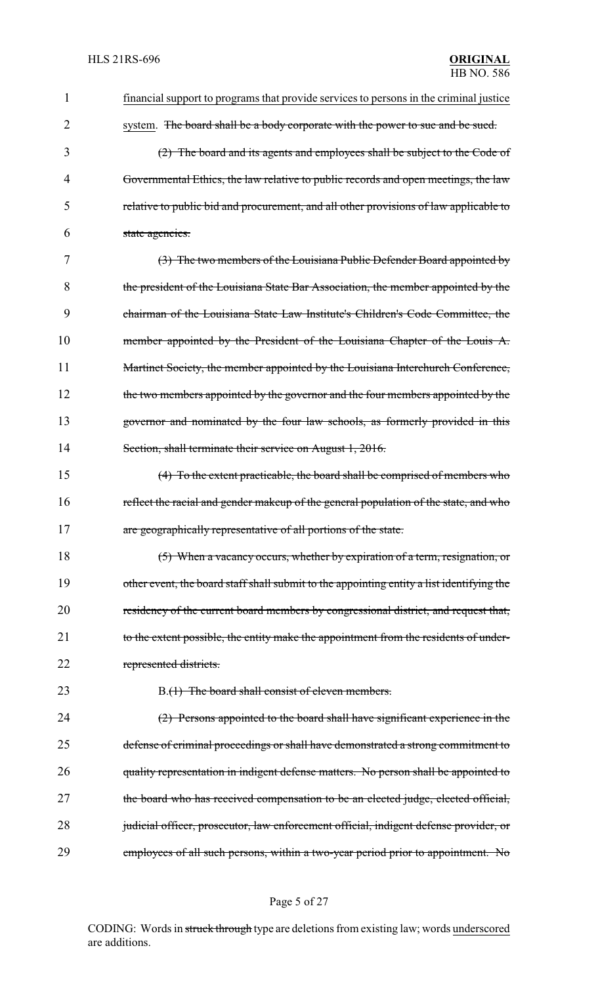| 1  | financial support to programs that provide services to persons in the criminal justice    |
|----|-------------------------------------------------------------------------------------------|
| 2  | system. The board shall be a body corporate with the power to sue and be sued.            |
| 3  | $(2)$ The board and its agents and employees shall be subject to the Code of              |
| 4  | Governmental Ethics, the law relative to public records and open meetings, the law        |
| 5  | relative to public bid and procurement, and all other provisions of law applicable to     |
| 6  | state agencies.                                                                           |
| 7  | (3) The two members of the Louisiana Public Defender Board appointed by                   |
| 8  | the president of the Louisiana State Bar Association, the member appointed by the         |
| 9  | chairman of the Louisiana State Law Institute's Children's Code Committee, the            |
| 10 | member appointed by the President of the Louisiana Chapter of the Louis A.                |
| 11 | Martinet Society, the member appointed by the Louisiana Interchurch Conference,           |
| 12 | the two members appointed by the governor and the four members appointed by the           |
| 13 | governor and nominated by the four law schools, as formerly provided in this              |
| 14 | Section, shall terminate their service on August 1, 2016.                                 |
| 15 | $(4)$ To the extent practicable, the board shall be comprised of members who              |
| 16 | reflect the racial and gender makeup of the general population of the state, and who      |
| 17 | are geographically representative of all portions of the state.                           |
| 18 | (5) When a vacancy occurs, whether by expiration of a term, resignation, or               |
| 19 | other event, the board staff shall submit to the appointing entity a list identifying the |
| 20 | residency of the current board members by congressional district, and request that,       |
| 21 | to the extent possible, the entity make the appointment from the residents of under-      |
| 22 | represented districts.                                                                    |
| 23 | B.(1) The board shall consist of eleven members.                                          |
| 24 | (2) Persons appointed to the board shall have significant experience in the               |
| 25 | defense of criminal proceedings or shall have demonstrated a strong commitment to         |
| 26 | quality representation in indigent defense matters. No person shall be appointed to       |
| 27 | the board who has received compensation to be an elected judge, elected official,         |
| 28 | judicial officer, prosecutor, law enforcement official, indigent defense provider, or     |
| 29 | employees of all such persons, within a two-year period prior to appointment. No          |

# Page 5 of 27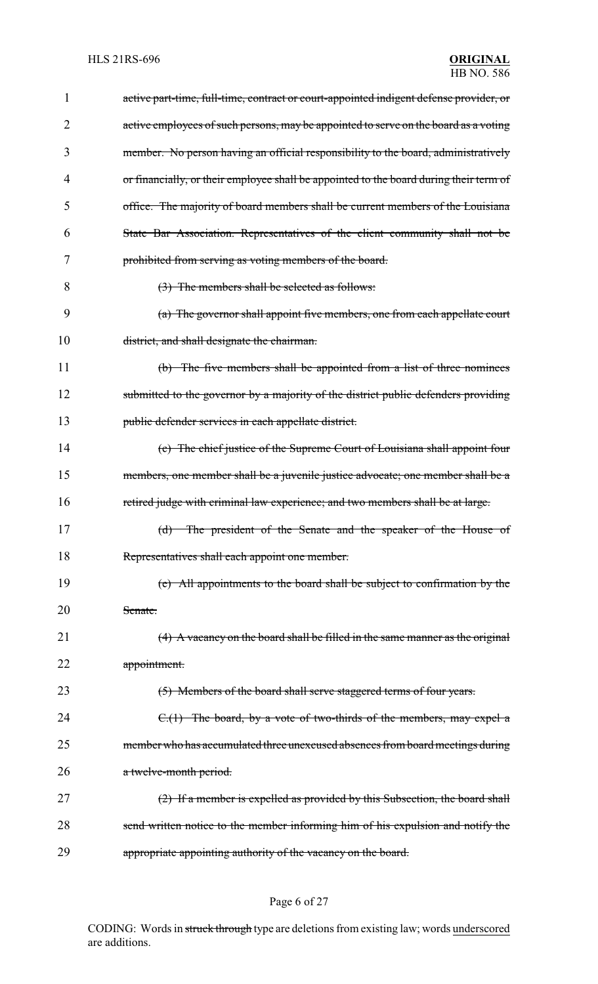| 1  | active part-time, full-time, contract or court-appointed indigent defense provider, or |
|----|----------------------------------------------------------------------------------------|
| 2  | active employees of such persons, may be appointed to serve on the board as a voting   |
| 3  | member. No person having an official responsibility to the board, administratively     |
| 4  | or financially, or their employee shall be appointed to the board during their term of |
| 5  | office. The majority of board members shall be current members of the Louisiana        |
| 6  | State Bar Association. Representatives of the client community shall not be            |
| 7  | prohibited from serving as voting members of the board.                                |
| 8  | (3) The members shall be selected as follows:                                          |
| 9  | (a) The governor shall appoint five members, one from each appellate court             |
| 10 | district, and shall designate the chairman.                                            |
| 11 | (b) The five members shall be appointed from a list of three nominees                  |
| 12 | submitted to the governor by a majority of the district public defenders providing     |
| 13 | public defender services in each appellate district.                                   |
| 14 | (c) The chief justice of the Supreme Court of Louisiana shall appoint four             |
| 15 | members, one member shall be a juvenile justice advocate; one member shall be a        |
| 16 | retired judge with criminal law experience; and two members shall be at large.         |
| 17 | (d)<br>The president of the Senate and the speaker of the House of                     |
| 18 | Representatives shall each appoint one member.                                         |
| 19 | (e) All appointments to the board shall be subject to confirmation by the              |
| 20 | Senate.                                                                                |
| 21 | $(4)$ A vacancy on the board shall be filled in the same manner as the original        |
| 22 | appointment.                                                                           |
| 23 | (5) Members of the board shall serve staggered terms of four years.                    |
| 24 | $C(1)$ The board, by a vote of two-thirds of the members, may expel a                  |
| 25 | member who has accumulated three unexcused absences from board meetings during         |
| 26 | a twelve-month period.                                                                 |
| 27 | $(2)$ If a member is expelled as provided by this Subsection, the board shall          |
| 28 | send written notice to the member informing him of his expulsion and notify the        |
| 29 | appropriate appointing authority of the vacancy on the board.                          |

# Page 6 of 27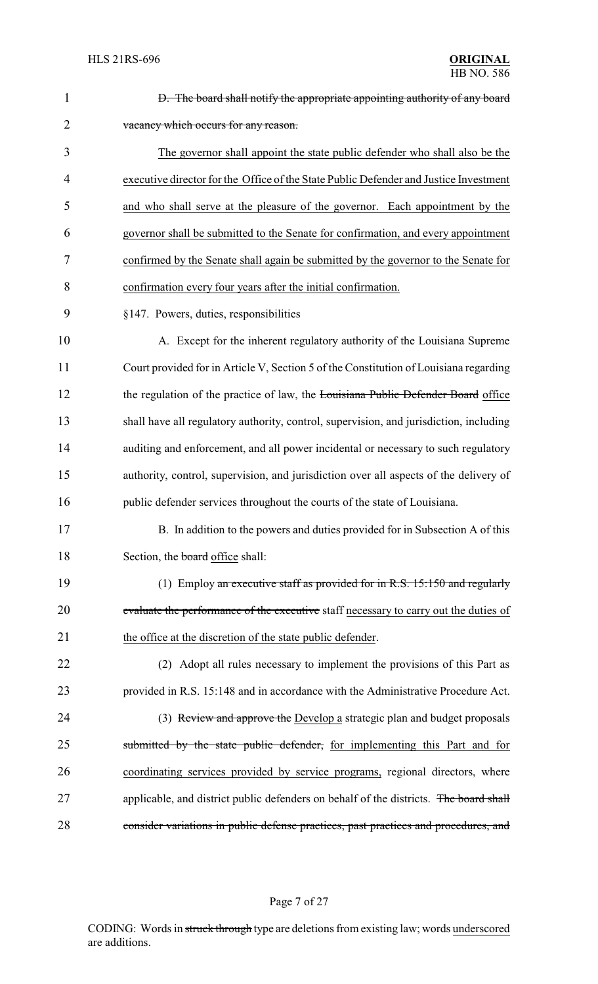| $\mathbf{1}$   | D. The board shall notify the appropriate appointing authority of any board            |
|----------------|----------------------------------------------------------------------------------------|
| $\overline{2}$ | vacancy which occurs for any reason.                                                   |
| 3              | The governor shall appoint the state public defender who shall also be the             |
| 4              | executive director for the Office of the State Public Defender and Justice Investment  |
| 5              | and who shall serve at the pleasure of the governor. Each appointment by the           |
| 6              | governor shall be submitted to the Senate for confirmation, and every appointment      |
| 7              | confirmed by the Senate shall again be submitted by the governor to the Senate for     |
| 8              | confirmation every four years after the initial confirmation.                          |
| 9              | §147. Powers, duties, responsibilities                                                 |
| 10             | A. Except for the inherent regulatory authority of the Louisiana Supreme               |
| 11             | Court provided for in Article V, Section 5 of the Constitution of Louisiana regarding  |
| 12             | the regulation of the practice of law, the Louisiana Public Defender Board office      |
| 13             | shall have all regulatory authority, control, supervision, and jurisdiction, including |
| 14             | auditing and enforcement, and all power incidental or necessary to such regulatory     |
| 15             | authority, control, supervision, and jurisdiction over all aspects of the delivery of  |
| 16             | public defender services throughout the courts of the state of Louisiana.              |
| 17             | B. In addition to the powers and duties provided for in Subsection A of this           |
| 18             | Section, the board office shall:                                                       |
| 19             | (1) Employ an executive staff as provided for in R.S. $15:150$ and regularly           |
| 20             | evaluate the performance of the executive staff necessary to carry out the duties of   |
| 21             | the office at the discretion of the state public defender.                             |
| 22             | (2) Adopt all rules necessary to implement the provisions of this Part as              |
| 23             | provided in R.S. 15:148 and in accordance with the Administrative Procedure Act.       |
| 24             | (3) Review and approve the Develop a strategic plan and budget proposals               |
| 25             | submitted by the state public defender, for implementing this Part and for             |
| 26             | coordinating services provided by service programs, regional directors, where          |
| 27             | applicable, and district public defenders on behalf of the districts. The board shall  |
| 28             | consider variations in public defense practices, past practices and procedures, and    |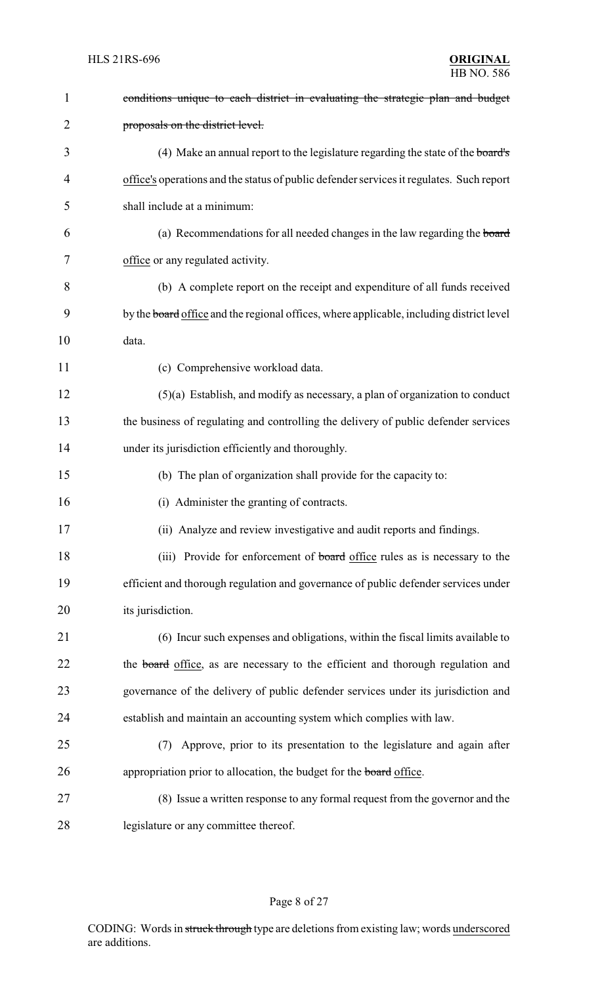| $\mathbf{1}$   | conditions unique to each district in evaluating the strategic plan and budget           |
|----------------|------------------------------------------------------------------------------------------|
| $\overline{2}$ | proposals on the district level.                                                         |
| 3              | (4) Make an annual report to the legislature regarding the state of the board's          |
| 4              | office's operations and the status of public defender services it regulates. Such report |
| 5              | shall include at a minimum:                                                              |
| 6              | (a) Recommendations for all needed changes in the law regarding the board                |
| 7              | office or any regulated activity.                                                        |
| 8              | (b) A complete report on the receipt and expenditure of all funds received               |
| 9              | by the board office and the regional offices, where applicable, including district level |
| 10             | data.                                                                                    |
| 11             | (c) Comprehensive workload data.                                                         |
| 12             | $(5)(a)$ Establish, and modify as necessary, a plan of organization to conduct           |
| 13             | the business of regulating and controlling the delivery of public defender services      |
| 14             | under its jurisdiction efficiently and thoroughly.                                       |
| 15             | (b) The plan of organization shall provide for the capacity to:                          |
| 16             | (i) Administer the granting of contracts.                                                |
| 17             | (ii) Analyze and review investigative and audit reports and findings.                    |
| 18             | (iii) Provide for enforcement of board office rules as is necessary to the               |
| 19             | efficient and thorough regulation and governance of public defender services under       |
| 20             | its jurisdiction.                                                                        |
| 21             | (6) Incur such expenses and obligations, within the fiscal limits available to           |
| 22             | the board office, as are necessary to the efficient and thorough regulation and          |
| 23             | governance of the delivery of public defender services under its jurisdiction and        |
| 24             | establish and maintain an accounting system which complies with law.                     |
| 25             | Approve, prior to its presentation to the legislature and again after<br>(7)             |
| 26             | appropriation prior to allocation, the budget for the board office.                      |
| 27             | (8) Issue a written response to any formal request from the governor and the             |
| 28             | legislature or any committee thereof.                                                    |

# Page 8 of 27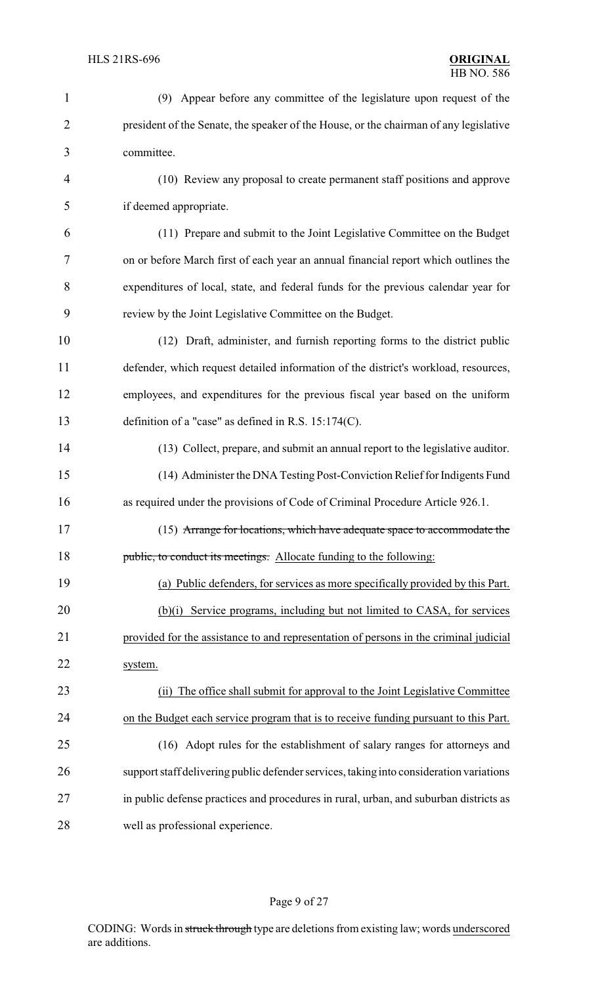| $\mathbf{1}$   | (9) Appear before any committee of the legislature upon request of the                  |
|----------------|-----------------------------------------------------------------------------------------|
| $\overline{2}$ | president of the Senate, the speaker of the House, or the chairman of any legislative   |
| 3              | committee.                                                                              |
| $\overline{4}$ | (10) Review any proposal to create permanent staff positions and approve                |
| 5              | if deemed appropriate.                                                                  |
| 6              | (11) Prepare and submit to the Joint Legislative Committee on the Budget                |
| 7              | on or before March first of each year an annual financial report which outlines the     |
| 8              | expenditures of local, state, and federal funds for the previous calendar year for      |
| 9              | review by the Joint Legislative Committee on the Budget.                                |
| 10             | (12) Draft, administer, and furnish reporting forms to the district public              |
| 11             | defender, which request detailed information of the district's workload, resources,     |
| 12             | employees, and expenditures for the previous fiscal year based on the uniform           |
| 13             | definition of a "case" as defined in R.S. $15:174(C)$ .                                 |
| 14             | (13) Collect, prepare, and submit an annual report to the legislative auditor.          |
| 15             | (14) Administer the DNA Testing Post-Conviction Relief for Indigents Fund               |
| 16             | as required under the provisions of Code of Criminal Procedure Article 926.1.           |
| 17             | (15) Arrange for locations, which have adequate space to accommodate the                |
| 18             | public, to conduct its meetings. Allocate funding to the following:                     |
| 19             | (a) Public defenders, for services as more specifically provided by this Part.          |
| 20             | (b)(i) Service programs, including but not limited to CASA, for services                |
| 21             | provided for the assistance to and representation of persons in the criminal judicial   |
| 22             | system.                                                                                 |
| 23             | (ii) The office shall submit for approval to the Joint Legislative Committee            |
| 24             | on the Budget each service program that is to receive funding pursuant to this Part.    |
| 25             | (16) Adopt rules for the establishment of salary ranges for attorneys and               |
| 26             | support staff delivering public defender services, taking into consideration variations |
| 27             | in public defense practices and procedures in rural, urban, and suburban districts as   |
| 28             | well as professional experience.                                                        |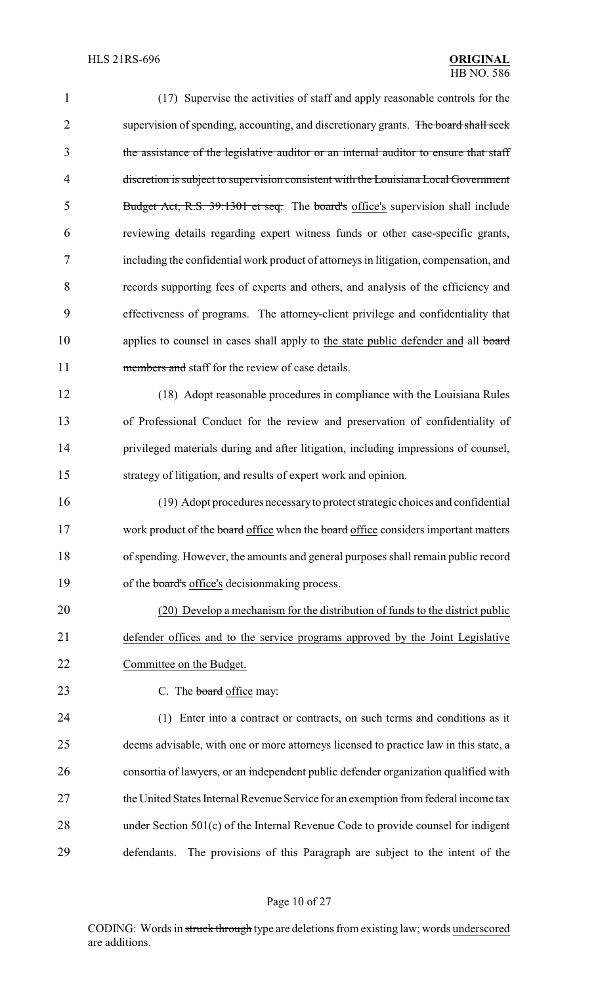| $\mathbf{1}$   | (17) Supervise the activities of staff and apply reasonable controls for the          |
|----------------|---------------------------------------------------------------------------------------|
| $\overline{2}$ | supervision of spending, accounting, and discretionary grants. The board shall seek   |
| 3              | the assistance of the legislative auditor or an internal auditor to ensure that staff |
| $\overline{4}$ | discretion is subject to supervision consistent with the Louisiana Local Government   |
| 5              | Budget Act, R.S. 39:1301 et seq. The board's office's supervision shall include       |
| 6              | reviewing details regarding expert witness funds or other case-specific grants,       |
| 7              | including the confidential work product of attorneys in litigation, compensation, and |
| 8              | records supporting fees of experts and others, and analysis of the efficiency and     |
| 9              | effectiveness of programs. The attorney-client privilege and confidentiality that     |
| 10             | applies to counsel in cases shall apply to the state public defender and all board    |
| 11             | members and staff for the review of case details.                                     |
| 12             | (18) Adopt reasonable procedures in compliance with the Louisiana Rules               |
| 13             | of Professional Conduct for the review and preservation of confidentiality of         |
| 14             | privileged materials during and after litigation, including impressions of counsel,   |
| 15             | strategy of litigation, and results of expert work and opinion.                       |
| 16             | (19) Adopt procedures necessary to protect strategic choices and confidential         |
| 17             | work product of the board office when the board office considers important matters    |
| 18             | of spending. However, the amounts and general purposes shall remain public record     |
| 19             | of the board's office's decision making process.                                      |
| 20             | (20) Develop a mechanism for the distribution of funds to the district public         |
| 21             | defender offices and to the service programs approved by the Joint Legislative        |
| 22             | Committee on the Budget.                                                              |
| 23             | C. The board office may:                                                              |
| 24             | (1) Enter into a contract or contracts, on such terms and conditions as it            |
| 25             | deems advisable, with one or more attorneys licensed to practice law in this state, a |
| 26             | consortia of lawyers, or an independent public defender organization qualified with   |
| 27             | the United States Internal Revenue Service for an exemption from federal income tax   |
| 28             | under Section 501(c) of the Internal Revenue Code to provide counsel for indigent     |
| 29             | The provisions of this Paragraph are subject to the intent of the<br>defendants.      |

# Page 10 of 27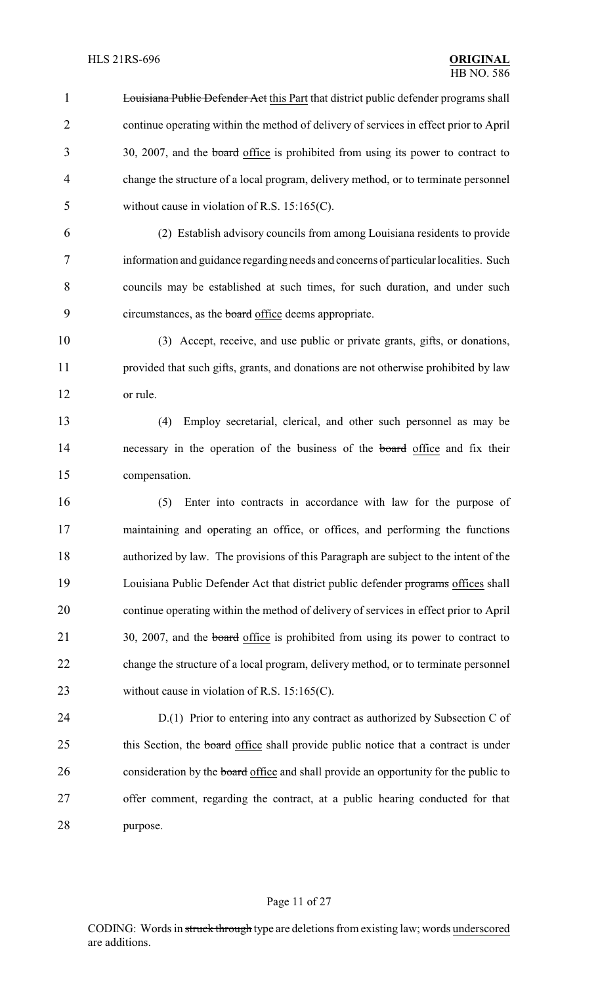1 Louisiana Public Defender Act this Part that district public defender programs shall 2 continue operating within the method of delivery of services in effect prior to April 30, 2007, and the board office is prohibited from using its power to contract to 4 change the structure of a local program, delivery method, or to terminate personnel 5 without cause in violation of R.S. 15:165(C).

 (2) Establish advisory councils from among Louisiana residents to provide information and guidance regarding needs and concerns of particular localities. Such councils may be established at such times, for such duration, and under such 9 circumstances, as the **board** office deems appropriate.

10 (3) Accept, receive, and use public or private grants, gifts, or donations, 11 provided that such gifts, grants, and donations are not otherwise prohibited by law 12 or rule.

13 (4) Employ secretarial, clerical, and other such personnel as may be 14 necessary in the operation of the business of the board office and fix their 15 compensation.

 (5) Enter into contracts in accordance with law for the purpose of maintaining and operating an office, or offices, and performing the functions authorized by law. The provisions of this Paragraph are subject to the intent of the 19 Louisiana Public Defender Act that district public defender programs offices shall continue operating within the method of delivery of services in effect prior to April 21 30, 2007, and the **board** office is prohibited from using its power to contract to change the structure of a local program, delivery method, or to terminate personnel 23 without cause in violation of R.S. 15:165(C).

24 D.(1) Prior to entering into any contract as authorized by Subsection C of 25 this Section, the board office shall provide public notice that a contract is under 26 consideration by the **board** office and shall provide an opportunity for the public to 27 offer comment, regarding the contract, at a public hearing conducted for that 28 purpose.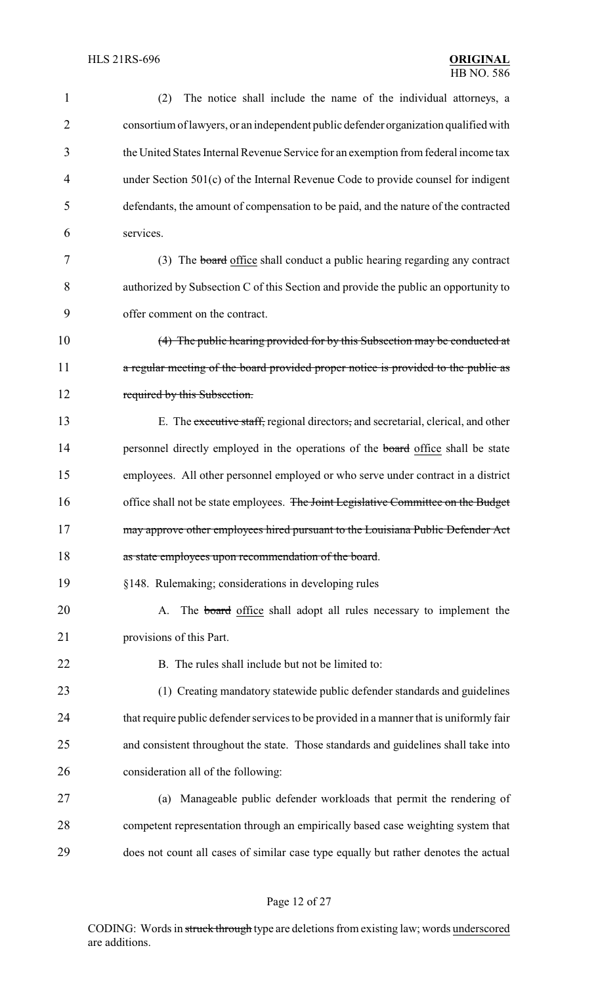| $\mathbf{1}$   | The notice shall include the name of the individual attorneys, a<br>(2)                 |
|----------------|-----------------------------------------------------------------------------------------|
| $\overline{2}$ | consortium of lawyers, or an independent public defender organization qualified with    |
| 3              | the United States Internal Revenue Service for an exemption from federal income tax     |
| $\overline{4}$ | under Section 501(c) of the Internal Revenue Code to provide counsel for indigent       |
| 5              | defendants, the amount of compensation to be paid, and the nature of the contracted     |
| 6              | services.                                                                               |
| 7              | (3) The board office shall conduct a public hearing regarding any contract              |
| 8              | authorized by Subsection C of this Section and provide the public an opportunity to     |
| 9              | offer comment on the contract.                                                          |
| 10             | (4) The public hearing provided for by this Subsection may be conducted at              |
| 11             | a regular meeting of the board provided proper notice is provided to the public as      |
| 12             | required by this Subsection.                                                            |
| 13             | E. The executive staff, regional directors, and secretarial, clerical, and other        |
| 14             | personnel directly employed in the operations of the board office shall be state        |
| 15             | employees. All other personnel employed or who serve under contract in a district       |
| 16             | office shall not be state employees. The Joint Legislative Committee on the Budget      |
| 17             | may approve other employees hired pursuant to the Louisiana Public Defender Act         |
| 18             | as state employees upon recommendation of the board.                                    |
| 19             | §148. Rulemaking; considerations in developing rules                                    |
| 20             | The <b>board</b> office shall adopt all rules necessary to implement the<br>A.          |
| 21             | provisions of this Part.                                                                |
| 22             | B. The rules shall include but not be limited to:                                       |
| 23             | (1) Creating mandatory statewide public defender standards and guidelines               |
| 24             | that require public defender services to be provided in a manner that is uniformly fair |
| 25             | and consistent throughout the state. Those standards and guidelines shall take into     |
| 26             | consideration all of the following:                                                     |
| 27             | Manageable public defender workloads that permit the rendering of<br>(a)                |
| 28             | competent representation through an empirically based case weighting system that        |
| 29             | does not count all cases of similar case type equally but rather denotes the actual     |

# Page 12 of 27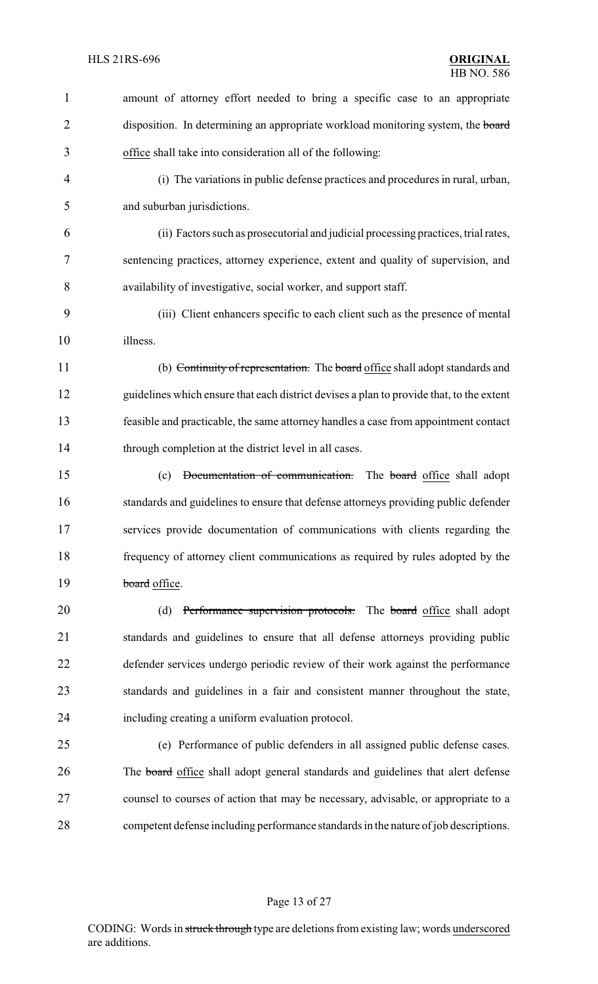| $\mathbf{1}$   | amount of attorney effort needed to bring a specific case to an appropriate              |
|----------------|------------------------------------------------------------------------------------------|
| $\overline{2}$ | disposition. In determining an appropriate workload monitoring system, the board         |
| 3              | office shall take into consideration all of the following:                               |
| $\overline{4}$ | (i) The variations in public defense practices and procedures in rural, urban,           |
| 5              | and suburban jurisdictions.                                                              |
| 6              | (ii) Factors such as prosecutorial and judicial processing practices, trial rates,       |
| 7              | sentencing practices, attorney experience, extent and quality of supervision, and        |
| 8              | availability of investigative, social worker, and support staff.                         |
| 9              | (iii) Client enhancers specific to each client such as the presence of mental            |
| 10             | illness.                                                                                 |
| 11             | (b) Continuity of representation. The board office shall adopt standards and             |
| 12             | guidelines which ensure that each district devises a plan to provide that, to the extent |
| 13             | feasible and practicable, the same attorney handles a case from appointment contact      |
| 14             | through completion at the district level in all cases.                                   |
|                |                                                                                          |
| 15             | Documentation of communication. The board office shall adopt<br>(c)                      |
| 16             | standards and guidelines to ensure that defense attorneys providing public defender      |
| 17             | services provide documentation of communications with clients regarding the              |
| 18             | frequency of attorney client communications as required by rules adopted by the          |
| 19             | board office.                                                                            |
| 20             | Performance supervision protocols. The board office shall adopt<br>(d)                   |
| 21             | standards and guidelines to ensure that all defense attorneys providing public           |
| 22             | defender services undergo periodic review of their work against the performance          |
| 23             | standards and guidelines in a fair and consistent manner throughout the state,           |
| 24             | including creating a uniform evaluation protocol.                                        |
| 25             | (e) Performance of public defenders in all assigned public defense cases.                |
| 26             | The <b>board</b> office shall adopt general standards and guidelines that alert defense  |
| 27             | counsel to courses of action that may be necessary, advisable, or appropriate to a       |

# Page 13 of 27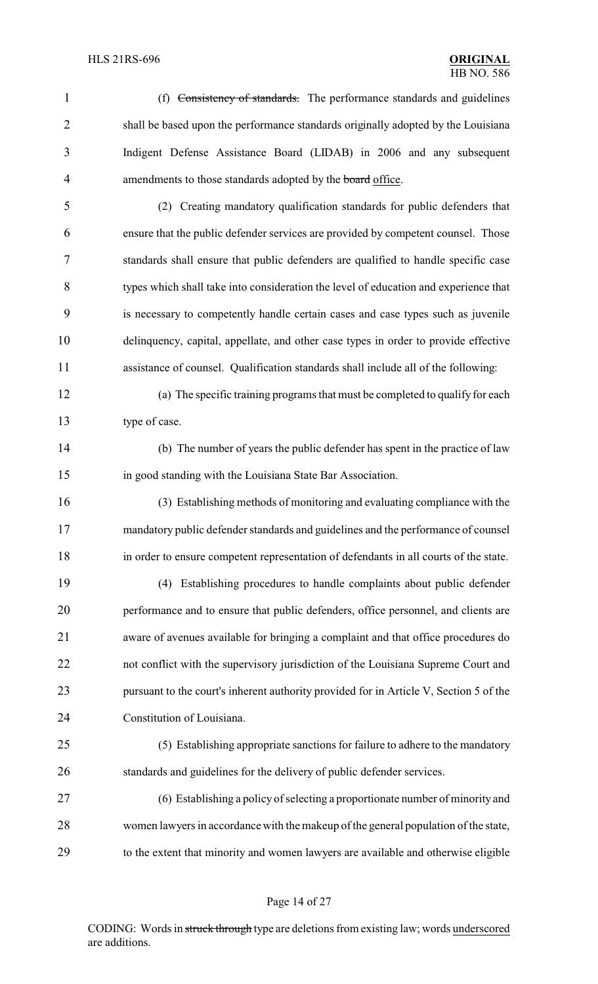(f) Consistency of standards. The performance standards and guidelines shall be based upon the performance standards originally adopted by the Louisiana Indigent Defense Assistance Board (LIDAB) in 2006 and any subsequent 4 amendments to those standards adopted by the **board** office.

 (2) Creating mandatory qualification standards for public defenders that ensure that the public defender services are provided by competent counsel. Those standards shall ensure that public defenders are qualified to handle specific case types which shall take into consideration the level of education and experience that is necessary to competently handle certain cases and case types such as juvenile delinquency, capital, appellate, and other case types in order to provide effective assistance of counsel. Qualification standards shall include all of the following:

 (a) The specific training programs that must be completed to qualify for each type of case.

 (b) The number of years the public defender has spent in the practice of law in good standing with the Louisiana State Bar Association.

 (3) Establishing methods of monitoring and evaluating compliance with the mandatory public defender standards and guidelines and the performance of counsel in order to ensure competent representation of defendants in all courts of the state.

 (4) Establishing procedures to handle complaints about public defender performance and to ensure that public defenders, office personnel, and clients are aware of avenues available for bringing a complaint and that office procedures do not conflict with the supervisory jurisdiction of the Louisiana Supreme Court and 23 pursuant to the court's inherent authority provided for in Article V, Section 5 of the Constitution of Louisiana.

 (5) Establishing appropriate sanctions for failure to adhere to the mandatory standards and guidelines for the delivery of public defender services.

 (6) Establishing a policy of selecting a proportionate number of minority and women lawyers in accordance with the makeup of the general population of the state, to the extent that minority and women lawyers are available and otherwise eligible

### Page 14 of 27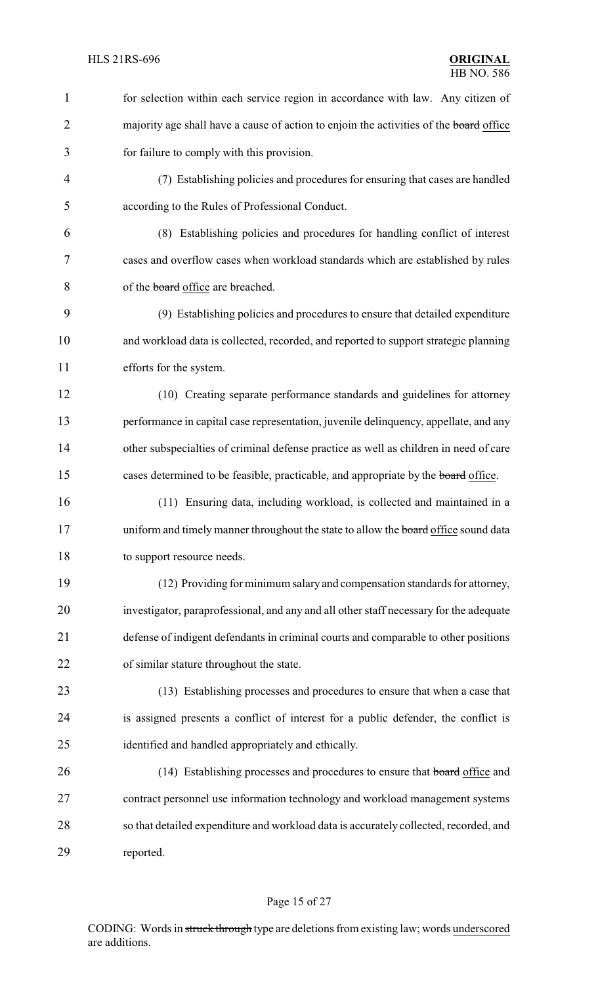| $\mathbf{1}$   | for selection within each service region in accordance with law. Any citizen of        |
|----------------|----------------------------------------------------------------------------------------|
| 2              | majority age shall have a cause of action to enjoin the activities of the board office |
| 3              | for failure to comply with this provision.                                             |
| $\overline{4}$ | (7) Establishing policies and procedures for ensuring that cases are handled           |
| 5              | according to the Rules of Professional Conduct.                                        |
| 6              | (8) Establishing policies and procedures for handling conflict of interest             |
| 7              | cases and overflow cases when workload standards which are established by rules        |
| 8              | of the board office are breached.                                                      |
| 9              | (9) Establishing policies and procedures to ensure that detailed expenditure           |
| 10             | and workload data is collected, recorded, and reported to support strategic planning   |
| 11             | efforts for the system.                                                                |
| 12             | (10) Creating separate performance standards and guidelines for attorney               |
| 13             | performance in capital case representation, juvenile delinquency, appellate, and any   |
| 14             | other subspecialties of criminal defense practice as well as children in need of care  |
| 15             | cases determined to be feasible, practicable, and appropriate by the board office.     |
| 16             | (11) Ensuring data, including workload, is collected and maintained in a               |
| 17             | uniform and timely manner throughout the state to allow the board office sound data    |
| 18             | to support resource needs.                                                             |
| 19             | (12) Providing for minimum salary and compensation standards for attorney,             |
| 20             | investigator, paraprofessional, and any and all other staff necessary for the adequate |
| 21             | defense of indigent defendants in criminal courts and comparable to other positions    |
| 22             | of similar stature throughout the state.                                               |
| 23             | (13) Establishing processes and procedures to ensure that when a case that             |
| 24             | is assigned presents a conflict of interest for a public defender, the conflict is     |
| 25             | identified and handled appropriately and ethically.                                    |
| 26             | (14) Establishing processes and procedures to ensure that board office and             |
| 27             | contract personnel use information technology and workload management systems          |
| 28             | so that detailed expenditure and workload data is accurately collected, recorded, and  |
| 29             | reported.                                                                              |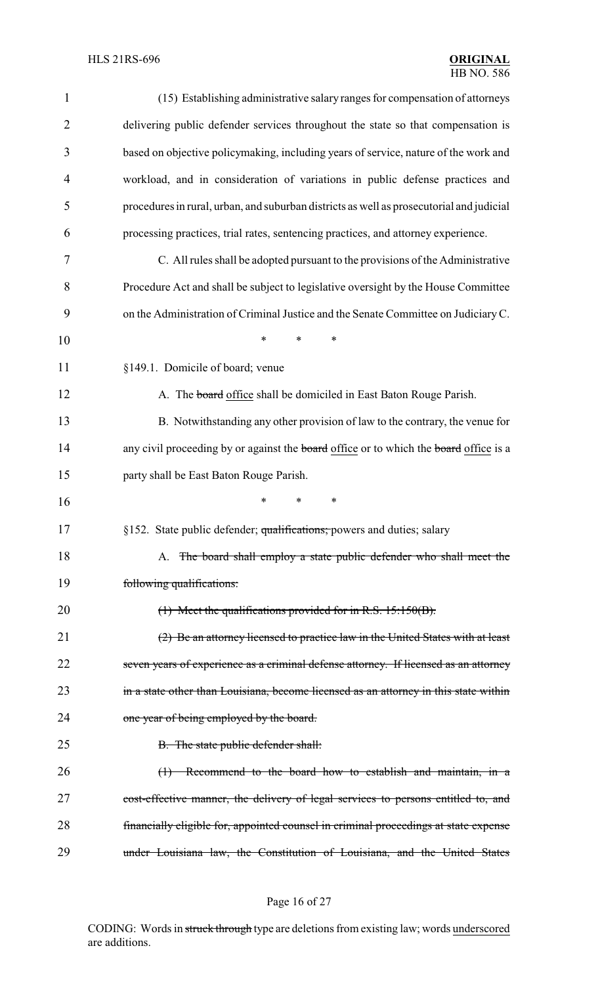| $\mathbf{1}$   | (15) Establishing administrative salary ranges for compensation of attorneys                        |
|----------------|-----------------------------------------------------------------------------------------------------|
| $\overline{2}$ | delivering public defender services throughout the state so that compensation is                    |
| 3              | based on objective policymaking, including years of service, nature of the work and                 |
| 4              | workload, and in consideration of variations in public defense practices and                        |
| 5              | procedures in rural, urban, and suburban districts as well as prosecutorial and judicial            |
| 6              | processing practices, trial rates, sentencing practices, and attorney experience.                   |
| 7              | C. All rules shall be adopted pursuant to the provisions of the Administrative                      |
| 8              | Procedure Act and shall be subject to legislative oversight by the House Committee                  |
| 9              | on the Administration of Criminal Justice and the Senate Committee on Judiciary C.                  |
| 10             | *<br>$\ast$<br>*                                                                                    |
| 11             | §149.1. Domicile of board; venue                                                                    |
| 12             | A. The board office shall be domiciled in East Baton Rouge Parish.                                  |
| 13             | B. Notwithstanding any other provision of law to the contrary, the venue for                        |
| 14             | any civil proceeding by or against the <b>board</b> office or to which the <b>board</b> office is a |
| 15             | party shall be East Baton Rouge Parish.                                                             |
| 16             | $\ast$<br>*<br>∗                                                                                    |
| 17             | §152. State public defender; qualifications; powers and duties; salary                              |
| 18             | A. The board shall employ a state public defender who shall meet the                                |
| 19             | following qualifications:                                                                           |
| 20             | $(1)$ Meet the qualifications provided for in R.S. 15:150(B).                                       |
| 21             | (2) Be an attorney licensed to practice law in the United States with at least                      |
| 22             | seven years of experience as a criminal defense attorney. If licensed as an attorney                |
| 23             | in a state other than Louisiana, become licensed as an attorney in this state within                |
| 24             | one year of being employed by the board.                                                            |
| 25             | B. The state public defender shall:                                                                 |
| 26             | $(1)$ Recommend to the board how to establish and maintain, in a                                    |
| 27             | cost-effective manner, the delivery of legal services to persons entitled to, and                   |
| 28             | financially eligible for, appointed counsel in criminal proceedings at state expense                |
| 29             | under Louisiana law, the Constitution of Louisiana, and the United States                           |

# Page 16 of 27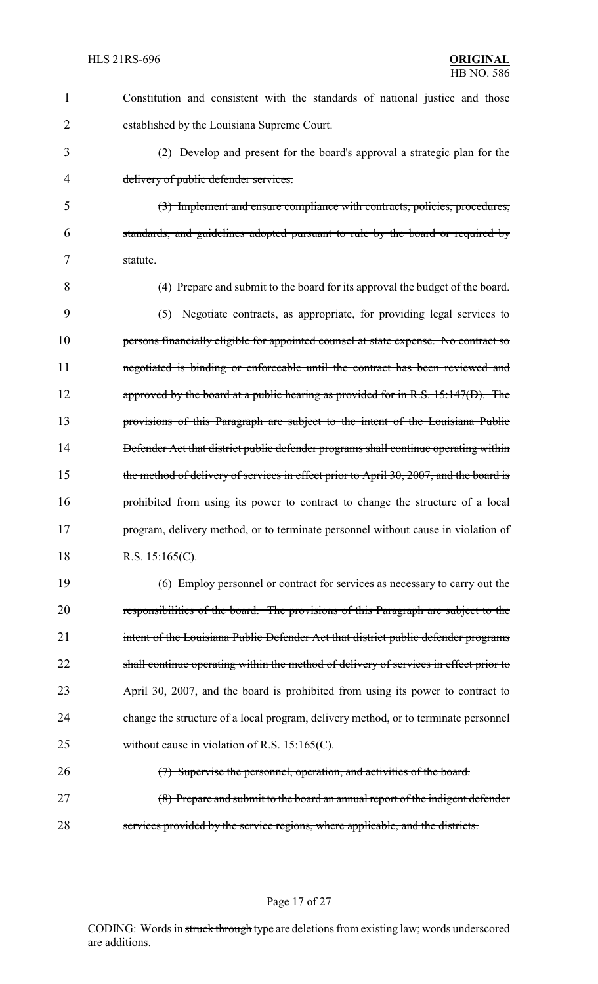| 1  | Constitution and consistent with the standards of national justice and those           |
|----|----------------------------------------------------------------------------------------|
| 2  | established by the Louisiana Supreme Court.                                            |
| 3  | (2) Develop and present for the board's approval a strategic plan for the              |
| 4  | delivery of public defender services.                                                  |
| 5  | (3) Implement and ensure compliance with contracts, policies, procedures,              |
| 6  | standards, and guidelines adopted pursuant to rule by the board or required by         |
| 7  | statute.                                                                               |
| 8  | (4) Prepare and submit to the board for its approval the budget of the board.          |
| 9  | (5) Negotiate contracts, as appropriate, for providing legal services to               |
| 10 | persons financially eligible for appointed counsel at state expense. No contract so    |
| 11 | negotiated is binding or enforceable until the contract has been reviewed and          |
| 12 | approved by the board at a public hearing as provided for in R.S. $15:147(D)$ . The    |
| 13 | provisions of this Paragraph are subject to the intent of the Louisiana Public         |
| 14 | Defender Act that district public defender programs shall continue operating within    |
| 15 | the method of delivery of services in effect prior to April 30, 2007, and the board is |
| 16 | prohibited from using its power to contract to change the structure of a local         |
| 17 | program, delivery method, or to terminate personnel without cause in violation of      |
| 18 | R.S. $15:165(C)$ .                                                                     |
| 19 | (6) Employ personnel or contract for services as necessary to carry out the            |
| 20 | responsibilities of the board. The provisions of this Paragraph are subject to the     |
| 21 | intent of the Louisiana Public Defender Act that district public defender programs     |
| 22 | shall continue operating within the method of delivery of services in effect prior to  |
| 23 | April 30, 2007, and the board is prohibited from using its power to contract to        |
| 24 | change the structure of a local program, delivery method, or to terminate personnel    |
| 25 | without cause in violation of R.S. $15:165(C)$ .                                       |
| 26 | (7) Supervise the personnel, operation, and activities of the board.                   |
| 27 | (8) Prepare and submit to the board an annual report of the indigent defender          |
| 28 | services provided by the service regions, where applicable, and the districts.         |

Page 17 of 27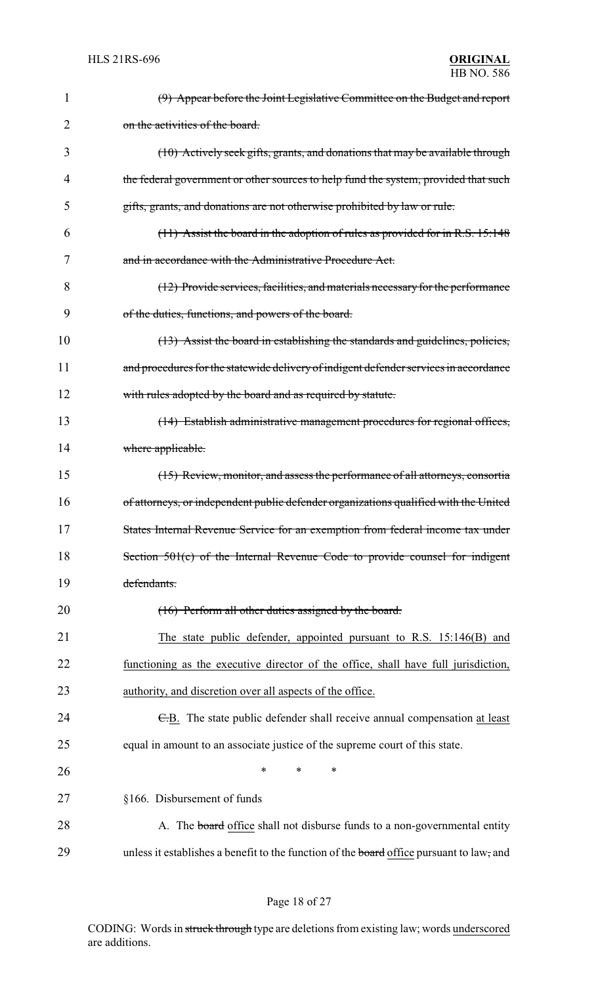| 1  | (9) Appear before the Joint Legislative Committee on the Budget and report               |
|----|------------------------------------------------------------------------------------------|
| 2  | on the activities of the board.                                                          |
| 3  | (10) Actively seek gifts, grants, and donations that may be available through            |
| 4  | the federal government or other sources to help fund the system, provided that such      |
| 5  | gifts, grants, and donations are not otherwise prohibited by law or rule.                |
| 6  | $(11)$ Assist the board in the adoption of rules as provided for in R.S. 15:148          |
| 7  | and in accordance with the Administrative Procedure Act.                                 |
| 8  | (12) Provide services, facilities, and materials necessary for the performance           |
| 9  | of the duties, functions, and powers of the board.                                       |
| 10 | (13) Assist the board in establishing the standards and guidelines, policies,            |
| 11 | and procedures for the statewide delivery of indigent defender services in accordance    |
| 12 | with rules adopted by the board and as required by statute.                              |
| 13 | (14) Establish administrative management procedures for regional offices,                |
| 14 | where applicable.                                                                        |
| 15 | (15) Review, monitor, and assess the performance of all attorneys, consortia             |
| 16 | of attorneys, or independent public defender organizations qualified with the United     |
| 17 | States Internal Revenue Service for an exemption from federal income tax under           |
| 18 | Section 501(c) of the Internal Revenue Code to provide counsel for indigent              |
| 19 | defendants.                                                                              |
| 20 | (16) Perform all other duties assigned by the board.                                     |
| 21 | The state public defender, appointed pursuant to R.S. 15:146(B) and                      |
| 22 | functioning as the executive director of the office, shall have full jurisdiction,       |
| 23 | authority, and discretion over all aspects of the office.                                |
| 24 | E.B. The state public defender shall receive annual compensation at least                |
| 25 | equal in amount to an associate justice of the supreme court of this state.              |
| 26 | *<br>*<br>∗                                                                              |
| 27 | §166. Disbursement of funds                                                              |
| 28 | A. The board office shall not disburse funds to a non-governmental entity                |
| 29 | unless it establishes a benefit to the function of the board office pursuant to law, and |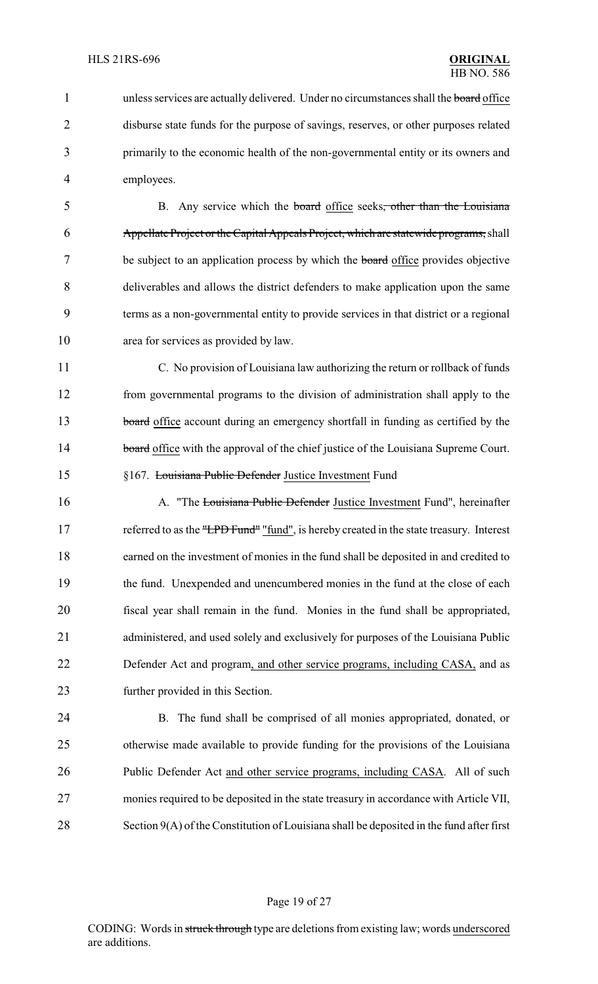1 unless services are actually delivered. Under no circumstances shall the board office disburse state funds for the purpose of savings, reserves, or other purposes related primarily to the economic health of the non-governmental entity or its owners and employees.

5 B. Any service which the board office seeks<del>, other than the Louisiana</del> Appellate Project or the Capital Appeals Project, which are statewide programs, shall 7 be subject to an application process by which the board office provides objective deliverables and allows the district defenders to make application upon the same terms as a non-governmental entity to provide services in that district or a regional area for services as provided by law.

 C. No provision of Louisiana law authorizing the return or rollback of funds from governmental programs to the division of administration shall apply to the 13 board office account during an emergency shortfall in funding as certified by the 14 board office with the approval of the chief justice of the Louisiana Supreme Court. §167. Louisiana Public Defender Justice Investment Fund

16 A. "The Louisiana Public Defender Justice Investment Fund", hereinafter 17 referred to as the "LPD Fund" "fund", is hereby created in the state treasury. Interest earned on the investment of monies in the fund shall be deposited in and credited to the fund. Unexpended and unencumbered monies in the fund at the close of each fiscal year shall remain in the fund. Monies in the fund shall be appropriated, administered, and used solely and exclusively for purposes of the Louisiana Public Defender Act and program, and other service programs, including CASA, and as further provided in this Section.

 B. The fund shall be comprised of all monies appropriated, donated, or otherwise made available to provide funding for the provisions of the Louisiana Public Defender Act and other service programs, including CASA. All of such monies required to be deposited in the state treasury in accordance with Article VII, Section 9(A) of the Constitution of Louisiana shall be deposited in the fund after first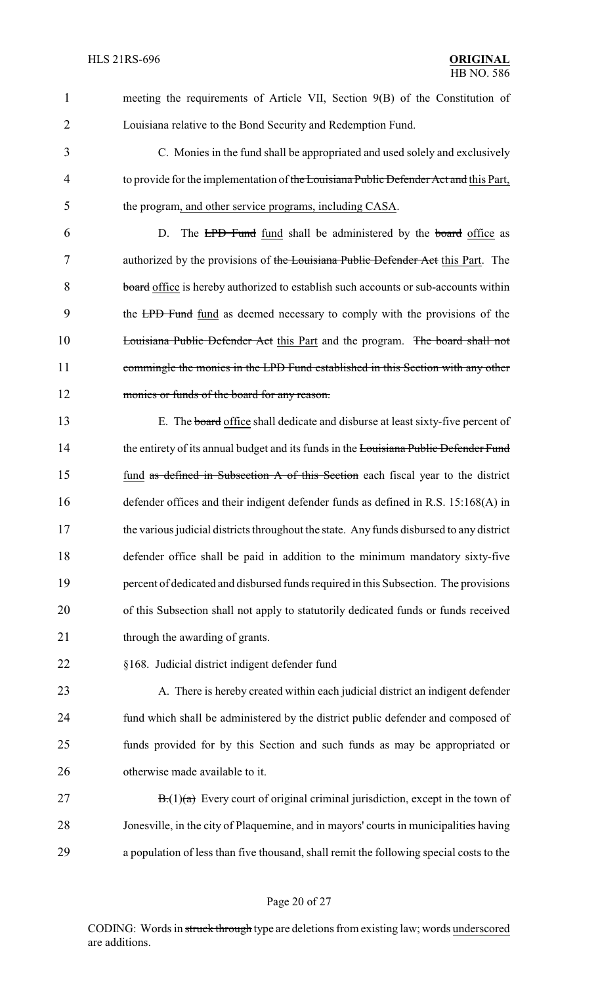1 meeting the requirements of Article VII, Section 9(B) of the Constitution of 2 Louisiana relative to the Bond Security and Redemption Fund.

3 C. Monies in the fund shall be appropriated and used solely and exclusively 4 to provide for the implementation of the Louisiana Public Defender Act and this Part, 5 the program, and other service programs, including CASA.

6 D. The LPD Fund fund shall be administered by the board office as 7 authorized by the provisions of the Louisiana Public Defender Act this Part. The 8 board office is hereby authorized to establish such accounts or sub-accounts within 9 the LPD Fund fund as deemed necessary to comply with the provisions of the 10 Louisiana Public Defender Act this Part and the program. The board shall not 11 commingle the monies in the LPD Fund established in this Section with any other 12 monies or funds of the board for any reason.

 E. The board office shall dedicate and disburse at least sixty-five percent of 14 the entirety of its annual budget and its funds in the Louisiana Public Defender Fund fund as defined in Subsection A of this Section each fiscal year to the district defender offices and their indigent defender funds as defined in R.S. 15:168(A) in the various judicial districts throughout the state. Any funds disbursed to any district defender office shall be paid in addition to the minimum mandatory sixty-five percent of dedicated and disbursed funds required in this Subsection. The provisions of this Subsection shall not apply to statutorily dedicated funds or funds received 21 through the awarding of grants.

22 §168. Judicial district indigent defender fund

23 A. There is hereby created within each judicial district an indigent defender fund which shall be administered by the district public defender and composed of funds provided for by this Section and such funds as may be appropriated or otherwise made available to it.

27 B. $(1)(a)$  Every court of original criminal jurisdiction, except in the town of 28 Jonesville, in the city of Plaquemine, and in mayors' courts in municipalities having 29 a population of less than five thousand, shall remit the following special costs to the

### Page 20 of 27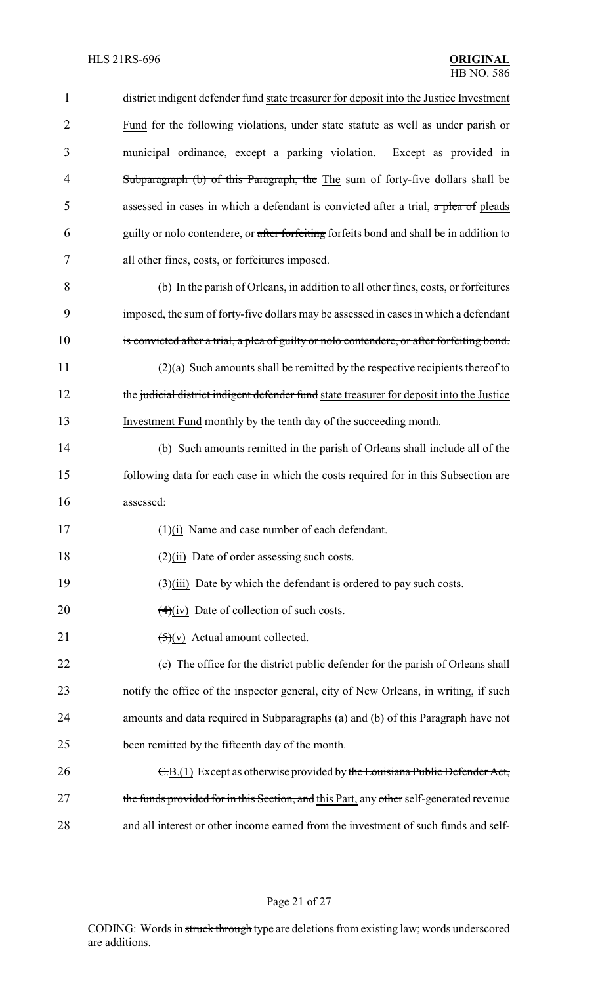| $\mathbf{1}$   | district indigent defender fund state treasurer for deposit into the Justice Investment    |
|----------------|--------------------------------------------------------------------------------------------|
| $\overline{2}$ | Fund for the following violations, under state statute as well as under parish or          |
| 3              | municipal ordinance, except a parking violation. Except as provided in                     |
| $\overline{4}$ | Subparagraph (b) of this Paragraph, the The sum of forty-five dollars shall be             |
| 5              | assessed in cases in which a defendant is convicted after a trial, a plea of pleads        |
| 6              | guilty or nolo contendere, or after forfeiting forfeits bond and shall be in addition to   |
| 7              | all other fines, costs, or forfeitures imposed.                                            |
| 8              | (b) In the parish of Orleans, in addition to all other fines, costs, or forfeitures        |
| 9              | imposed, the sum of forty-five dollars may be assessed in cases in which a defendant       |
| 10             | is convicted after a trial, a plea of guilty or nolo contendere, or after forfeiting bond. |
| 11             | $(2)(a)$ Such amounts shall be remitted by the respective recipients thereof to            |
| 12             | the judicial district indigent defender fund state treasurer for deposit into the Justice  |
| 13             | Investment Fund monthly by the tenth day of the succeeding month.                          |
| 14             | (b) Such amounts remitted in the parish of Orleans shall include all of the                |
| 15             | following data for each case in which the costs required for in this Subsection are        |
| 16             | assessed:                                                                                  |
| 17             | $(1)(i)$ Name and case number of each defendant.                                           |
| 18             | $\frac{2}{1}$ Date of order assessing such costs.                                          |
| 19             | $\left(\frac{1}{2}\right)$ (iii) Date by which the defendant is ordered to pay such costs. |
| 20             | $(4)(iv)$ Date of collection of such costs.                                                |
| 21             | $\left(\frac{1}{2}\right)(v)$ Actual amount collected.                                     |
| 22             | (c) The office for the district public defender for the parish of Orleans shall            |
| 23             | notify the office of the inspector general, city of New Orleans, in writing, if such       |
| 24             | amounts and data required in Subparagraphs (a) and (b) of this Paragraph have not          |
| 25             | been remitted by the fifteenth day of the month.                                           |
| 26             | $E(B(1))$ Except as otherwise provided by the Louisiana Public Defender Act,               |
| 27             | the funds provided for in this Section, and this Part, any other self-generated revenue    |
| 28             | and all interest or other income earned from the investment of such funds and self-        |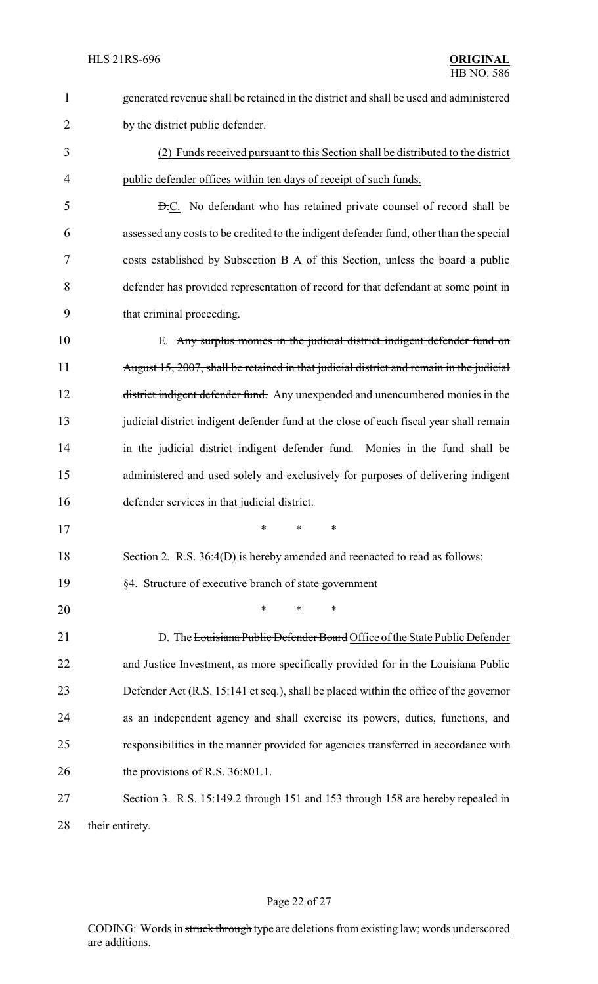| $\mathbf{1}$ | generated revenue shall be retained in the district and shall be used and administered   |
|--------------|------------------------------------------------------------------------------------------|
| 2            | by the district public defender.                                                         |
| 3            | (2) Funds received pursuant to this Section shall be distributed to the district         |
| 4            | public defender offices within ten days of receipt of such funds.                        |
| 5            | <b>D.C.</b> No defendant who has retained private counsel of record shall be             |
| 6            | assessed any costs to be credited to the indigent defender fund, other than the special  |
| 7            | costs established by Subsection $B \triangle$ of this Section, unless the board a public |
| 8            | defender has provided representation of record for that defendant at some point in       |
| 9            | that criminal proceeding.                                                                |
| 10           | E. Any surplus monies in the judicial district indigent defender fund on                 |
| 11           | August 15, 2007, shall be retained in that judicial district and remain in the judicial  |
| 12           | district indigent defender fund. Any unexpended and unencumbered monies in the           |
| 13           | judicial district indigent defender fund at the close of each fiscal year shall remain   |
| 14           | in the judicial district indigent defender fund. Monies in the fund shall be             |
| 15           | administered and used solely and exclusively for purposes of delivering indigent         |
| 16           | defender services in that judicial district.                                             |
| 17           |                                                                                          |
| 18           | Section 2. R.S. 36:4(D) is hereby amended and reenacted to read as follows:              |
| 19           | §4. Structure of executive branch of state government                                    |
| 20           | ∗<br>∗                                                                                   |
| 21           | D. The Louisiana Public Defender Board Office of the State Public Defender               |
| 22           | and Justice Investment, as more specifically provided for in the Louisiana Public        |
| 23           | Defender Act (R.S. 15:141 et seq.), shall be placed within the office of the governor    |
| 24           | as an independent agency and shall exercise its powers, duties, functions, and           |
| 25           | responsibilities in the manner provided for agencies transferred in accordance with      |
| 26           | the provisions of R.S. 36:801.1.                                                         |
| 27           | Section 3. R.S. 15:149.2 through 151 and 153 through 158 are hereby repealed in          |
| 28           | their entirety.                                                                          |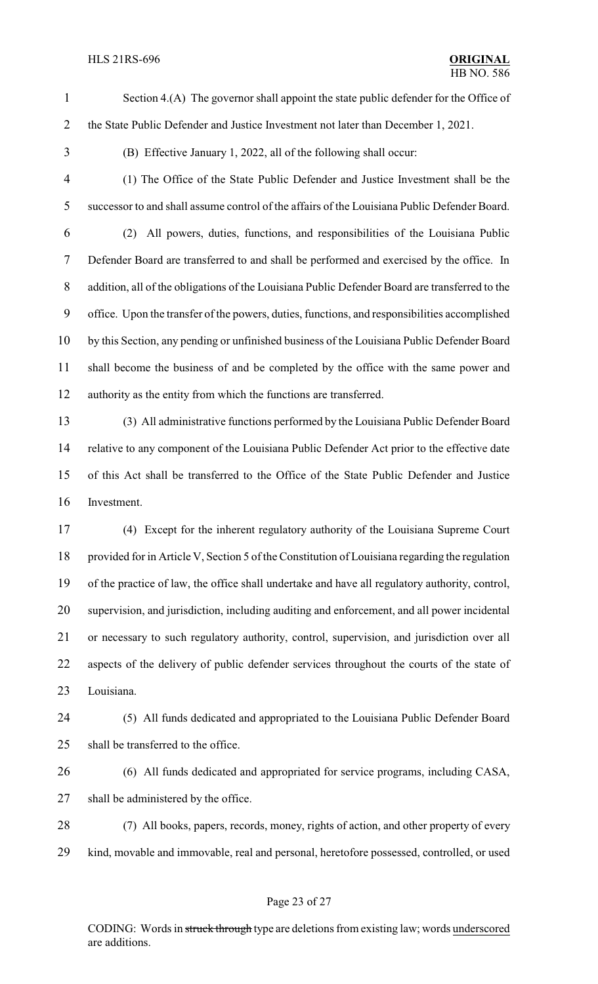Section 4.(A) The governor shall appoint the state public defender for the Office of the State Public Defender and Justice Investment not later than December 1, 2021.

(B) Effective January 1, 2022, all of the following shall occur:

 (1) The Office of the State Public Defender and Justice Investment shall be the successor to and shall assume control of the affairs of the Louisiana Public Defender Board. (2) All powers, duties, functions, and responsibilities of the Louisiana Public Defender Board are transferred to and shall be performed and exercised by the office. In addition, all of the obligations of the Louisiana Public Defender Board are transferred to the office. Upon the transfer of the powers, duties, functions, and responsibilities accomplished by this Section, any pending or unfinished business of the Louisiana Public Defender Board shall become the business of and be completed by the office with the same power and authority as the entity from which the functions are transferred.

 (3) All administrative functions performed by the Louisiana Public Defender Board relative to any component of the Louisiana Public Defender Act prior to the effective date of this Act shall be transferred to the Office of the State Public Defender and Justice Investment.

 (4) Except for the inherent regulatory authority of the Louisiana Supreme Court 18 provided for in Article V, Section 5 of the Constitution of Louisiana regarding the regulation of the practice of law, the office shall undertake and have all regulatory authority, control, supervision, and jurisdiction, including auditing and enforcement, and all power incidental or necessary to such regulatory authority, control, supervision, and jurisdiction over all aspects of the delivery of public defender services throughout the courts of the state of Louisiana.

 (5) All funds dedicated and appropriated to the Louisiana Public Defender Board shall be transferred to the office.

- (6) All funds dedicated and appropriated for service programs, including CASA, shall be administered by the office.
- (7) All books, papers, records, money, rights of action, and other property of every kind, movable and immovable, real and personal, heretofore possessed, controlled, or used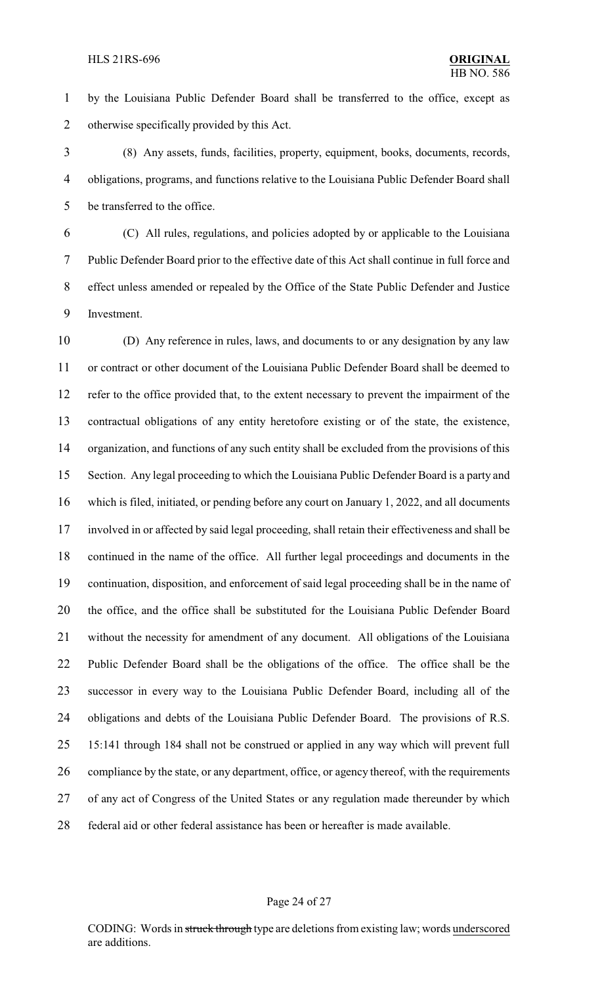by the Louisiana Public Defender Board shall be transferred to the office, except as otherwise specifically provided by this Act.

 (8) Any assets, funds, facilities, property, equipment, books, documents, records, obligations, programs, and functions relative to the Louisiana Public Defender Board shall be transferred to the office.

 (C) All rules, regulations, and policies adopted by or applicable to the Louisiana Public Defender Board prior to the effective date of this Act shall continue in full force and effect unless amended or repealed by the Office of the State Public Defender and Justice Investment.

 (D) Any reference in rules, laws, and documents to or any designation by any law or contract or other document of the Louisiana Public Defender Board shall be deemed to refer to the office provided that, to the extent necessary to prevent the impairment of the contractual obligations of any entity heretofore existing or of the state, the existence, organization, and functions of any such entity shall be excluded from the provisions of this Section. Any legal proceeding to which the Louisiana Public Defender Board is a party and which is filed, initiated, or pending before any court on January 1, 2022, and all documents involved in or affected by said legal proceeding, shall retain their effectiveness and shall be continued in the name of the office. All further legal proceedings and documents in the continuation, disposition, and enforcement of said legal proceeding shall be in the name of the office, and the office shall be substituted for the Louisiana Public Defender Board without the necessity for amendment of any document. All obligations of the Louisiana Public Defender Board shall be the obligations of the office. The office shall be the successor in every way to the Louisiana Public Defender Board, including all of the obligations and debts of the Louisiana Public Defender Board. The provisions of R.S. 15:141 through 184 shall not be construed or applied in any way which will prevent full compliance by the state, or any department, office, or agency thereof, with the requirements of any act of Congress of the United States or any regulation made thereunder by which federal aid or other federal assistance has been or hereafter is made available.

#### Page 24 of 27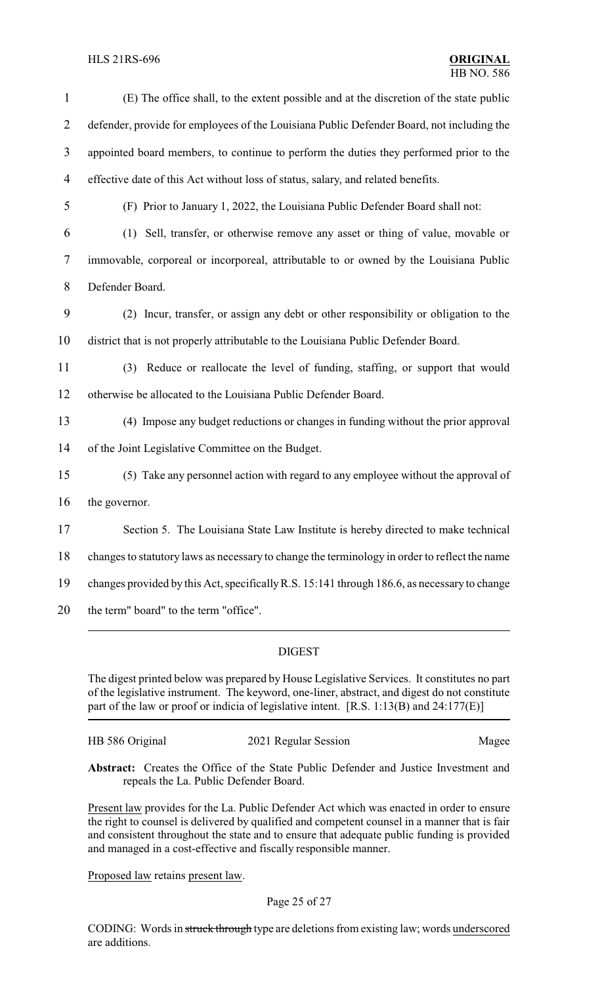### HLS 21RS-696 **ORIGINAL**

| $\mathbf{1}$             | (E) The office shall, to the extent possible and at the discretion of the state public        |
|--------------------------|-----------------------------------------------------------------------------------------------|
| $\overline{2}$           | defender, provide for employees of the Louisiana Public Defender Board, not including the     |
| 3                        | appointed board members, to continue to perform the duties they performed prior to the        |
| $\overline{\mathcal{A}}$ | effective date of this Act without loss of status, salary, and related benefits.              |
| 5                        | (F) Prior to January 1, 2022, the Louisiana Public Defender Board shall not:                  |
| 6                        | Sell, transfer, or otherwise remove any asset or thing of value, movable or<br>(1)            |
| 7                        | immovable, corporeal or incorporeal, attributable to or owned by the Louisiana Public         |
| 8                        | Defender Board.                                                                               |
| 9                        | (2) Incur, transfer, or assign any debt or other responsibility or obligation to the          |
| 10                       | district that is not properly attributable to the Louisiana Public Defender Board.            |
| 11                       | (3) Reduce or reallocate the level of funding, staffing, or support that would                |
| 12                       | otherwise be allocated to the Louisiana Public Defender Board.                                |
| 13                       | (4) Impose any budget reductions or changes in funding without the prior approval             |
| 14                       | of the Joint Legislative Committee on the Budget.                                             |
| 15                       | (5) Take any personnel action with regard to any employee without the approval of             |
| 16                       | the governor.                                                                                 |
| 17                       | Section 5. The Louisiana State Law Institute is hereby directed to make technical             |
| 18                       | changes to statutory laws as necessary to change the terminology in order to reflect the name |
| 19                       | changes provided by this Act, specifically R.S. 15:141 through 186.6, as necessary to change  |
| 20                       | the term" board" to the term "office".                                                        |
|                          |                                                                                               |

### DIGEST

The digest printed below was prepared by House Legislative Services. It constitutes no part of the legislative instrument. The keyword, one-liner, abstract, and digest do not constitute part of the law or proof or indicia of legislative intent. [R.S. 1:13(B) and 24:177(E)]

HB 586 Original 2021 Regular Session Magee

**Abstract:** Creates the Office of the State Public Defender and Justice Investment and repeals the La. Public Defender Board.

Present law provides for the La. Public Defender Act which was enacted in order to ensure the right to counsel is delivered by qualified and competent counsel in a manner that is fair and consistent throughout the state and to ensure that adequate public funding is provided and managed in a cost-effective and fiscally responsible manner.

Proposed law retains present law.

### Page 25 of 27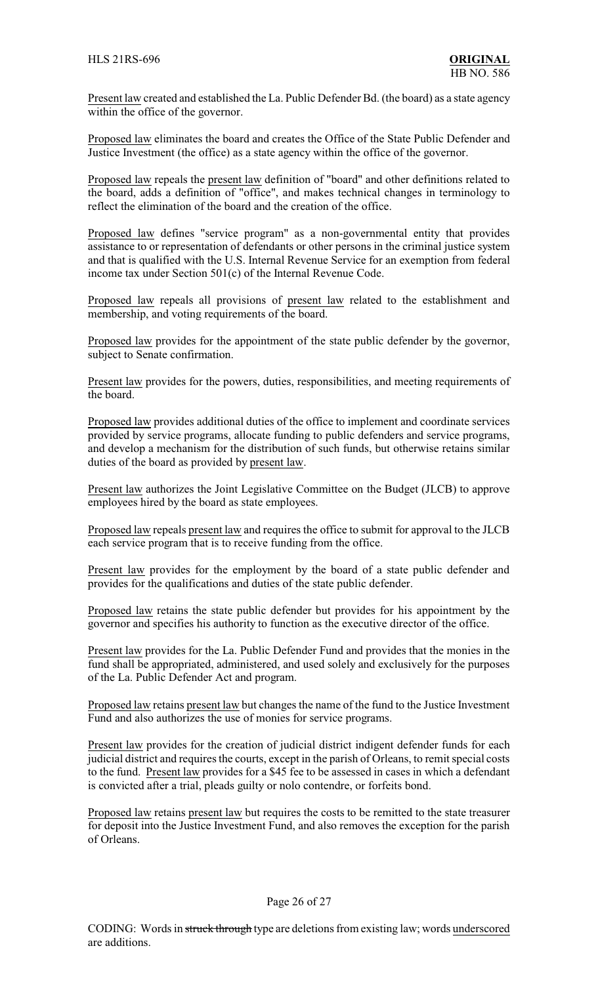Present law created and established the La. Public Defender Bd. (the board) as a state agency within the office of the governor.

Proposed law eliminates the board and creates the Office of the State Public Defender and Justice Investment (the office) as a state agency within the office of the governor.

Proposed law repeals the present law definition of "board" and other definitions related to the board, adds a definition of "office", and makes technical changes in terminology to reflect the elimination of the board and the creation of the office.

Proposed law defines "service program" as a non-governmental entity that provides assistance to or representation of defendants or other persons in the criminal justice system and that is qualified with the U.S. Internal Revenue Service for an exemption from federal income tax under Section 501(c) of the Internal Revenue Code.

Proposed law repeals all provisions of present law related to the establishment and membership, and voting requirements of the board.

Proposed law provides for the appointment of the state public defender by the governor, subject to Senate confirmation.

Present law provides for the powers, duties, responsibilities, and meeting requirements of the board.

Proposed law provides additional duties of the office to implement and coordinate services provided by service programs, allocate funding to public defenders and service programs, and develop a mechanism for the distribution of such funds, but otherwise retains similar duties of the board as provided by present law.

Present law authorizes the Joint Legislative Committee on the Budget (JLCB) to approve employees hired by the board as state employees.

Proposed law repeals present law and requires the office to submit for approval to the JLCB each service program that is to receive funding from the office.

Present law provides for the employment by the board of a state public defender and provides for the qualifications and duties of the state public defender.

Proposed law retains the state public defender but provides for his appointment by the governor and specifies his authority to function as the executive director of the office.

Present law provides for the La. Public Defender Fund and provides that the monies in the fund shall be appropriated, administered, and used solely and exclusively for the purposes of the La. Public Defender Act and program.

Proposed law retains present law but changes the name of the fund to the Justice Investment Fund and also authorizes the use of monies for service programs.

Present law provides for the creation of judicial district indigent defender funds for each judicial district and requires the courts, except in the parish of Orleans, to remit special costs to the fund. Present law provides for a \$45 fee to be assessed in cases in which a defendant is convicted after a trial, pleads guilty or nolo contendre, or forfeits bond.

Proposed law retains present law but requires the costs to be remitted to the state treasurer for deposit into the Justice Investment Fund, and also removes the exception for the parish of Orleans.